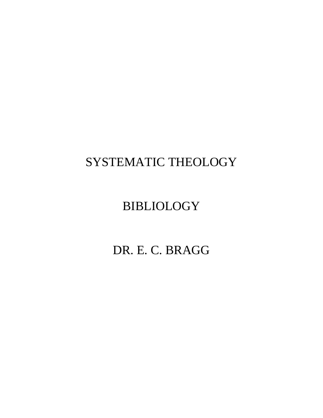# SYSTEMATIC THEOLOGY

# BIBLIOLOGY

# DR. E. C. BRAGG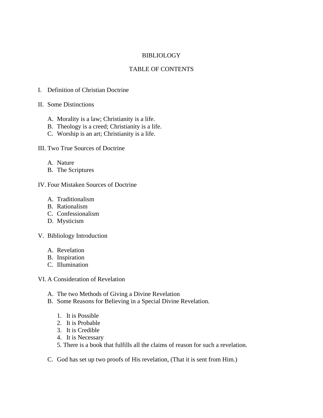## BIBLIOLOGY

## TABLE OF CONTENTS

- I. Definition of Christian Doctrine
- II. Some Distinctions
	- A. Morality is a law; Christianity is a life.
	- B. Theology is a creed; Christianity is a life.
	- C. Worship is an art; Christianity is a life.

III. Two True Sources of Doctrine

- A. Nature
- B. The Scriptures
- IV. Four Mistaken Sources of Doctrine
	- A. Traditionalism
	- B. Rationalism
	- C. Confessionalism
	- D. Mysticism
- V. Bibliology Introduction
	- A. Revelation
	- B. Inspiration
	- C. Illumination
- VI. A Consideration of Revelation
	- A. The two Methods of Giving a Divine Revelation
	- B. Some Reasons for Believing in a Special Divine Revelation.
		- 1. It is Possible
		- 2. It is Probable
		- 3. It is Credible
		- 4. It is Necessary
		- 5. There is a book that fulfills all the claims of reason for such a revelation.
	- C. God has set up two proofs of His revelation, (That it is sent from Him.)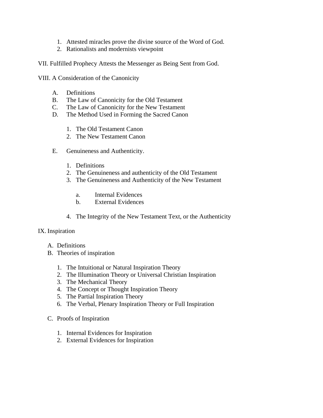- 1. Attested miracles prove the divine source of the Word of God.
- 2. Rationalists and modernists viewpoint

VII. Fulfilled Prophecy Attests the Messenger as Being Sent from God.

- VIII. A Consideration of the Canonicity
	- A. Definitions
	- B. The Law of Canonicity for the Old Testament
	- C. The Law of Canonicity for the New Testament
	- D. The Method Used in Forming the Sacred Canon
		- 1. The Old Testament Canon
		- 2. The New Testament Canon
	- E. Genuineness and Authenticity.
		- 1. Definitions
		- 2. The Genuineness and authenticity of the Old Testament
		- 3. The Genuineness and Authenticity of the New Testament
			- a. Internal Evidences
			- b. External Evidences
		- 4. The Integrity of the New Testament Text, or the Authenticity

## IX. Inspiration

- A. Definitions
- B. Theories of inspiration
	- 1. The Intuitional or Natural Inspiration Theory
	- 2. The Illumination Theory or Universal Christian Inspiration
	- 3. The Mechanical Theory
	- 4. The Concept or Thought Inspiration Theory
	- 5. The Partial Inspiration Theory
	- 6. The Verbal, Plenary Inspiration Theory or Full Inspiration

## C. Proofs of Inspiration

- 1. Internal Evidences for Inspiration
- 2. External Evidences for Inspiration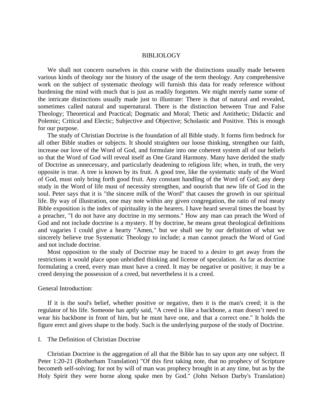## BIBLIOLOGY

 We shall not concern ourselves in this course with the distinctions usually made between various kinds of theology nor the history of the usage of the term theology. Any comprehensive work on the subject of systematic theology will furnish this data for ready reference without burdening the mind with much that is just as readily forgotten. We might merely name some of the intricate distinctions usually made just to illustrate: There is that of natural and revealed, sometimes called natural and supernatural. There is the distinction between True and False Theology; Theoretical and Practical; Dogmatic and Moral; Thetic and Antithetic; Didactic and Polemic; Critical and Electic; Subjective and Objective; Scholastic and Positive. This is enough for our purpose.

 The study of Christian Doctrine is the foundation of all Bible study. It forms firm bedrock for all other Bible studies or subjects. It should straighten our loose thinking, strengthen our faith, increase our love of the Word of God, and formulate into one coherent system all of our beliefs so that the Word of God will reveal itself as One Grand Harmony. Many have derided the study of Doctrine as unnecessary, and particularly deadening to religious life; when, in truth, the very opposite is true. A tree is known by its fruit. A good tree, like the systematic study of the Word of God, must only bring forth good fruit. Any constant handling of the Word of God; any deep study in the Word of life must of necessity strengthen, and nourish that new life of God in the soul. Peter says that it is "the sincere milk of the Word" that causes the growth in our spiritual life. By way of illustration, one may note within any given congregation, the ratio of real meaty Bible exposition is the index of spirituality in the hearers. I have heard several times the boast by a preacher, "I do not have any doctrine in my sermons." How any man can preach the Word of God and not include doctrine is a mystery. If by doctrine, he means great theological definitions and vagaries I could give a hearty "Amen," but we shall see by our definition of what we sincerely believe true Systematic Theology to include; a man cannot preach the Word of God and not include doctrine.

 Most opposition to the study of Doctrine may be traced to a desire to get away from the restrictions it would place upon unbridled thinking and license of speculation. As far as doctrine formulating a creed, every man must have a creed. It may be negative or positive; it may be a creed denying the possession of a creed, but nevertheless it is a creed.

## General Introduction:

 If it is the soul's belief, whether positive or negative, then it is the man's creed; it is the regulator of his life. Someone has aptly said, "A creed is like a backbone, a man doesn't need to wear his backbone in front of him, but he must have one, and that a correct one." It holds the figure erect and gives shape to the body. Such is the underlying purpose of the study of Doctrine.

## I. The Definition of Christian Doctrine

 Christian Doctrine is the aggregation of all that the Bible has to say upon any one subject. II Peter 1:20-21 (Rotherham Translation) "Of this first taking note, that no prophecy of Scripture becometh self-solving; for not by will of man was prophecy brought in at any time, but as by the Holy Spirit they were borne along spake men by God." (John Nelson Darby's Translation)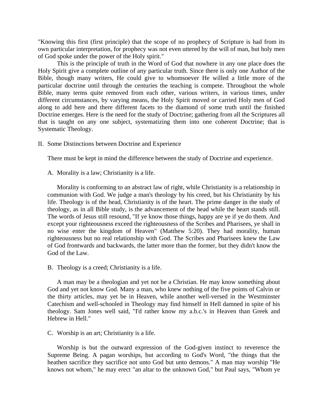"Knowing this first (first principle) that the scope of no prophecy of Scripture is had from its own particular interpretation, for prophecy was not even uttered by the will of man, but holy men of God spoke under the power of the Holy spirit."

This is the principle of truth in the Word of God that nowhere in any one place does the Holy Spirit give a complete outline of any particular truth. Since there is only one Author of the Bible, though many writers, He could give to whomsoever He willed a little more of the particular doctrine until through the centuries the teaching is compete. Throughout the whole Bible, many terms quite removed from each other, various writers, in various times, under different circumstances, by varying means, the Holy Spirit moved or carried Holy men of God along to add here and there different facets to the diamond of some truth until the finished Doctrine emerges. Here is the need for the study of Doctrine; gathering from all the Scriptures all that is taught on any one subject, systematizing them into one coherent Doctrine; that is Systematic Theology.

II. Some Distinctions between Doctrine and Experience

There must be kept in mind the difference between the study of Doctrine and experience.

A. Morality is a law; Christianity is a life.

 Morality is conforming to an abstract law of right, while Christianity is a relationship in communion with God. We judge a man's theology by his creed, but his Christianity by his life. Theology is of the head, Christianity is of the heart. The prime danger in the study of theology, as in all Bible study, is the advancement of the head while the heart stands still. The words of Jesus still resound, "If ye know those things, happy are ye if ye do them. And except your righteousness exceed the righteousness of the Scribes and Pharisees, ye shall in no wise enter the kingdom of Heaven" (Matthew 5:20). They had morality, human righteousness but no real relationship with God. The Scribes and Pharisees knew the Law of God frontwards and backwards, the latter more than the former, but they didn't know the God of the Law.

B. Theology is a creed; Christianity is a life.

 A man may be a theologian and yet not be a Christian. He may know something about God and yet not know God. Many a man, who knew nothing of the five points of Calvin or the thirty articles, may yet be in Heaven, while another well-versed in the Westminster Catechism and well-schooled in Theology may find himself in Hell damned in spite of his theology. Sam Jones well said, "I'd rather know my a.b.c.'s in Heaven than Greek and Hebrew in Hell."

C. Worship is an art; Christianity is a life.

 Worship is but the outward expression of the God-given instinct to reverence the Supreme Being. A pagan worships, but according to God's Word, "the things that the heathen sacrifice they sacrifice not unto God but unto demons." A man may worship "He knows not whom," he may erect "an altar to the unknown God," but Paul says, "Whom ye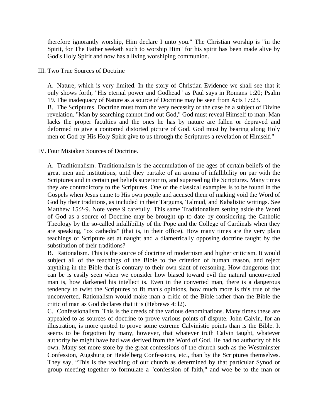therefore ignorantly worship, Him declare I unto you." The Christian worship is "in the Spirit, for The Father seeketh such to worship Him" for his spirit has been made alive by God's Holy Spirit and now has a living worshiping communion.

III. Two True Sources of Doctrine

A. Nature, which is very limited. In the story of Christian Evidence we shall see that it only shows forth, "His eternal power and Godhead" as Paul says in Romans 1:20; Psalm 19. The inadequacy of Nature as a source of Doctrine may be seen from Acts 17:23. B. The Scriptures. Doctrine must from the very necessity of the case be a subject of Divine revelation. "Man by searching cannot find out God," God must reveal Himself to man. Man lacks the proper faculties and the ones he has by nature are fallen or depraved and

deformed to give a contorted distorted picture of God. God must by bearing along Holy men of God by His Holy Spirit give to us through the Scriptures a revelation of Himself."

IV. Four Mistaken Sources of Doctrine.

A. Traditionalism. Traditionalism is the accumulation of the ages of certain beliefs of the great men and institutions, until they partake of an aroma of infallibility on par with the Scriptures and in certain pet beliefs superior to, and superseding the Scriptures. Many times they are contradictory to the Scriptures. One of the classical examples is to be found in the Gospels when Jesus came to His own people and accused them of making void the Word of God by their traditions, as included in their Targums, Talmud, and Kabalistic writings. See Matthew 15:2-9. Note verse 9 carefully. This same Traditionalism setting aside the Word of God as a source of Doctrine may be brought up to date by considering the Catholic Theology by the so-called infallibility of the Pope and the College of Cardinals when they are speaking, "ox cathedra" (that is, in their office). How many times are the very plain teachings of Scripture set at naught and a diametrically opposing doctrine taught by the substitution of their traditions?

B. Rationalism. This is the source of doctrine of modernism and higher criticism. It would subject all of the teachings of the Bible to the criterion of human reason, and reject anything in the Bible that is contrary to their own slant of reasoning. How dangerous that can be is easily seen when we consider how biased toward evil the natural unconverted man is, how darkened his intellect is. Even in the converted man, there is a dangerous tendency to twist the Scriptures to fit man's opinions, how much more is this true of the unconverted. Rationalism would make man a critic of the Bible rather than the Bible the critic of man as God declares that it is (Hebrews 4: l2).

C. Confessionalism. This is the creeds of the various denominations. Many times these are appealed to as sources of doctrine to prove various points of dispute. John Calvin, for an illustration, is more quoted to prove some extreme Calvinistic points than is the Bible. It seems to be forgotten by many, however, that whatever truth Calvin taught, whatever authority he might have had was derived from the Word of God. He had no authority of his own. Many set more store by the great confessions of the church such as the Westminster Confession, Augsburg or Heidelberg Confessions, etc., than by the Scriptures themselves. They say, "This is the teaching of our church as determined by that particular Synod or group meeting together to formulate a "confession of faith," and woe be to the man or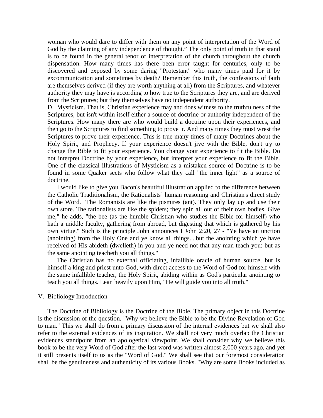woman who would dare to differ with them on any point of interpretation of the Word of God by the claiming of any independence of thought." The only point of truth in that stand is to be found in the general tenor of interpretation of the church throughout the church dispensation. How many times has there been error taught for centuries, only to be discovered and exposed by some daring "Protestant" who many times paid for it by excommunication and sometimes by death? Remember this truth, the confessions of faith are themselves derived (if they are worth anything at all) from the Scriptures, and whatever authority they may have is according to how true to the Scriptures they are, and are derived from the Scriptures; but they themselves have no independent authority.

D. Mysticism. That is, Christian experience may and does witness to the truthfulness of the Scriptures, but isn't within itself either a source of doctrine or authority independent of the Scriptures. How many there are who would build a doctrine upon their experiences, and then go to the Scriptures to find something to prove it. And many times they must wrest the Scriptures to prove their experience. This is true many times of many Doctrines about the Holy Spirit, and Prophecy. If your experience doesn't jive with the Bible, don't try to change the Bible to fit your experience. You change your experience to fit the Bible. Do not interpret Doctrine by your experience, but interpret your experience to fit the Bible. One of the classical illustrations of Mysticism as a mistaken source of Doctrine is to be found in some Quaker sects who follow what they call "the inner light" as a source of doctrine.

 I would like to give you Bacon's beautiful illustration applied to the difference between the Catholic Traditionalism, the Rationalists' human reasoning and Christian's direct study of the Word. "The Romanists are like the pismires (ant). They only lay up and use their own store. The rationalists are like the spiders; they spin all out of their own bodies. Give me," he adds, "the bee (as the humble Christian who studies the Bible for himself) who hath a middle faculty, gathering from abroad, but digesting that which is gathered by his own virtue." Such is the principle John announces I John 2:20, 27 - "Ye have an unction (anointing) from the Holy One and ye know all things....but the anointing which ye have received of His abideth (dwelleth) in you and ye need not that any man teach you: but as the same anointing teacheth you all things."

 The Christian has no external officiating, infallible oracle of human source, but is himself a king and priest unto God, with direct access to the Word of God for himself with the same infallible teacher, the Holy Spirit, abiding within as God's particular anointing to teach you all things. Lean heavily upon Him, "He will guide you into all truth."

## V. Bibliology Introduction

 The Doctrine of Bibliology is the Doctrine of the Bible. The primary object in this Doctrine is the discussion of the question, "Why we believe the Bible to be the Divine Revelation of God to man." This we shall do from a primary discussion of the internal evidences but we shall also refer to the external evidences of its inspiration. We shall not very much overlap the Christian evidences standpoint from an apologetical viewpoint. We shall consider why we believe this book to be the very Word of God after the last word was written almost 2,000 years ago, and yet it still presents itself to us as the "Word of God." We shall see that our foremost consideration shall be the genuineness and authenticity of its various Books. "Why are some Books included as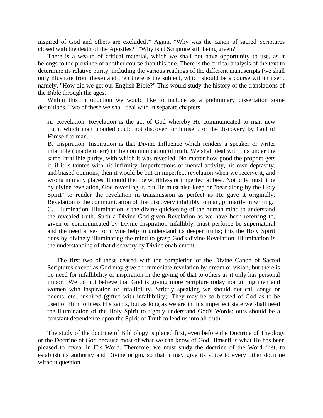inspired of God and others are excluded?" Again, "Why was the canon of sacred Scriptures closed with the death of the Apostles?" "Why isn't Scripture still being given?"

 There is a wealth of critical material, which we shall not have opportunity to use, as it belongs to the province of another course than this one. There is the critical analysis of the text to determine its relative purity, including the various readings of the different manuscripts (we shall only illustrate from these) and then there is the subject, which should be a course within itself, namely, "How did we get our English Bible?" This would study the history of the translations of the Bible through the ages.

 Within this introduction we would like to include as a preliminary dissertation some definitions. Two of these we shall deal with in separate chapters.

A. Revelation. Revelation is the act of God whereby He communicated to man new truth, which man unaided could not discover for himself, or the discovery by God of Himself to man.

B. Inspiration. Inspiration is that Divine Influence which renders a speaker or writer infallible (unable to err) in the communication of truth. We shall deal with this under the same infallible purity, with which it was revealed. No matter how good the prophet gets it, if it is tainted with his infirmity, imperfections of mental activity, his own depravity, and biased opinions, then it would be but an imperfect revelation when we receive it, and wrong in many places. It could then be worthless or imperfect at best. Not only must it be by divine revelation, God revealing it, but He must also keep or "bear along by the Holy Spirit" to render the revelation in transmission as perfect as He gave it originally. Revelation is the communication of that discovery infallibly to man, primarily in writing. C. Illumination. Illumination is the divine quickening of the human mind to understand the revealed truth. Such a Divine God-given Revelation as we have been referring to, given or communicated by Divine Inspiration infallibly, must perforce be supernatural and the need arises for divine help to understand its deeper truths; this the Holy Spirit does by divinely illuminating the mind to grasp God's divine Revelation. Illumination is the understanding of that discovery by Divine enablement.

 The first two of these ceased with the completion of the Divine Canon of Sacred Scriptures except as God may give an immediate revelation by dream or vision, but there is no need for infallibility or inspiration in the giving of that to others as it only has personal import. We do not believe that God is giving more Scripture today nor gifting men and women with inspiration or infallibility. Strictly speaking we should not call songs or poems, etc., inspired (gifted with infallibility). They may be so blessed of God as to be used of Him to bless His saints, but as long as we are in this imperfect state we shall need the illumination of the Holy Spirit to rightly understand God's Words; ours should be a constant dependence upon the Spirit of Truth to lead us into all truth.

 The study of the doctrine of Bibliology is placed first, even before the Doctrine of Theology or the Doctrine of God because most of what we can know of God Himself is what He has been pleased to reveal in His Word. Therefore, we must study the doctrine of the Word first, to establish its authority and Divine origin, so that it may give its voice to every other doctrine without question.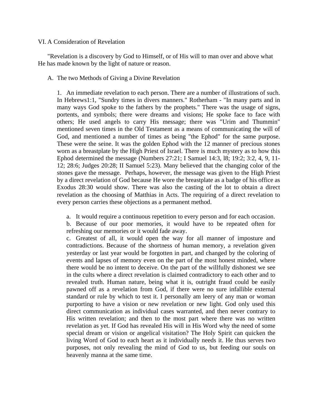## VI. A Consideration of Revelation

 "Revelation is a discovery by God to Himself, or of His will to man over and above what He has made known by the light of nature or reason.

## A. The two Methods of Giving a Divine Revelation

1. An immediate revelation to each person. There are a number of illustrations of such. In Hebrews1:1, "Sundry times in divers manners." Rotherham - "In many parts and in many ways God spoke to the fathers by the prophets." There was the usage of signs, portents, and symbols; there were dreams and visions; He spoke face to face with others; He used angels to carry His message; there was "Urim and Thummin" mentioned seven times in the Old Testament as a means of communicating the will of God, and mentioned a number of times as being "the Ephod" for the same purpose. These were the seine. It was the golden Ephod with the 12 manner of precious stones worn as a breastplate by the High Priest of Israel. There is much mystery as to how this Ephod determined the message (Numbers 27:21; I Samuel 14:3, l8; 19:2; 3:2, 4, 9, 11- 12; 28:6; Judges 20:28; II Samuel 5:23). Many believed that the changing color of the stones gave the message. Perhaps, however, the message was given to the High Priest by a direct revelation of God because He wore the breastplate as a badge of his office as Exodus 28:30 would show. There was also the casting of the lot to obtain a direct revelation as the choosing of Matthias in Acts. The requiring of a direct revelation to every person carries these objections as a permanent method.

a. It would require a continuous repetition to every person and for each occasion.

b. Because of our poor memories, it would have to be repeated often for refreshing our memories or it would fade away.

c. Greatest of all, it would open the way for all manner of imposture and contradictions. Because of the shortness of human memory, a revelation given yesterday or last year would be forgotten in part, and changed by the coloring of events and lapses of memory even on the part of the most honest minded, where there would be no intent to deceive. On the part of the willfully dishonest we see in the cults where a direct revelation is claimed contradictory to each other and to revealed truth. Human nature, being what it is, outright fraud could be easily pawned off as a revelation from God, if there were no sure infallible external standard or rule by which to test it. I personally am leery of any man or woman purporting to have a vision or new revelation or new light. God only used this direct communication as individual cases warranted, and then never contrary to His written revelation; and then to the most part where there was no written revelation as yet. If God has revealed His will in His Word why the need of some special dream or vision or angelical visitation? The Holy Spirit can quicken the living Word of God to each heart as it individually needs it. He thus serves two purposes, not only revealing the mind of God to us, but feeding our souls on heavenly manna at the same time.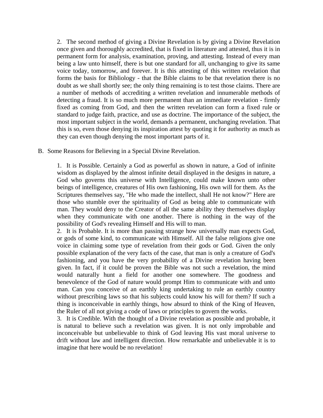2. The second method of giving a Divine Revelation is by giving a Divine Revelation once given and thoroughly accredited, that is fixed in literature and attested, thus it is in permanent form for analysis, examination, proving, and attesting. Instead of every man being a law unto himself, there is but one standard for all, unchanging to give its same voice today, tomorrow, and forever. It is this attesting of this written revelation that forms the basis for Bibliology - that the Bible claims to be that revelation there is no doubt as we shall shortly see; the only thing remaining is to test those claims. There are a number of methods of accrediting a written revelation and innumerable methods of detecting a fraud. It is so much more permanent than an immediate revelation - firmly fixed as coming from God, and then the written revelation can form a fixed rule or standard to judge faith, practice, and use as doctrine. The importance of the subject, the most important subject in the world, demands a permanent, unchanging revelation. That this is so, even those denying its inspiration attest by quoting it for authority as much as they can even though denying the most important parts of it.

B. Some Reasons for Believing in a Special Divine Revelation.

1. It is Possible. Certainly a God as powerful as shown in nature, a God of infinite wisdom as displayed by the almost infinite detail displayed in the designs in nature, a God who governs this universe with Intelligence, could make known unto other beings of intelligence, creatures of His own fashioning, His own will for them. As the Scriptures themselves say, "He who made the intellect, shall He not know?" Here are those who stumble over the spirituality of God as being able to communicate with man. They would deny to the Creator of all the same ability they themselves display when they communicate with one another. There is nothing in the way of the possibility of God's revealing Himself and His will to man.

2. It is Probable. It is more than passing strange how universally man expects God, or gods of some kind, to communicate with Himself. All the false religions give one voice in claiming some type of revelation from their gods or God. Given the only possible explanation of the very facts of the case, that man is only a creature of God's fashioning, and you have the very probability of a Divine revelation having been given. In fact, if it could be proven the Bible was not such a revelation, the mind would naturally hunt a field for another one somewhere. The goodness and benevolence of the God of nature would prompt Him to communicate with and unto man. Can you conceive of an earthly king undertaking to rule an earthly country without prescribing laws so that his subjects could know his will for them? If such a thing is inconceivable in earthly things, how absurd to think of the King of Heaven, the Ruler of all not giving a code of laws or principles to govern the works.

3. It is Credible. With the thought of a Divine revelation as possible and probable, it is natural to believe such a revelation was given. It is not only improbable and inconceivable but unbelievable to think of God leaving His vast moral universe to drift without law and intelligent direction. How remarkable and unbelievable it is to imagine that here would be no revelation!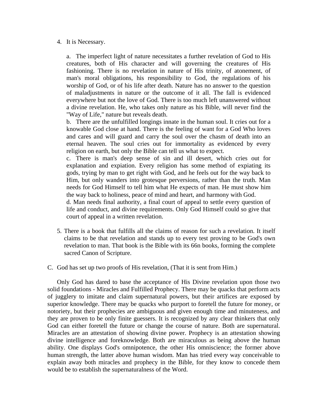4. It is Necessary.

a. The imperfect light of nature necessitates a further revelation of God to His creatures, both of His character and will governing the creatures of His fashioning. There is no revelation in nature of His trinity, of atonement, of man's moral obligations, his responsibility to God, the regulations of his worship of God, or of his life after death. Nature has no answer to the question of maladjustments in nature or the outcome of it all. The fall is evidenced everywhere but not the love of God. There is too much left unanswered without a divine revelation. He, who takes only nature as his Bible, will never find the "Way of Life," nature but reveals death.

b. There are the unfulfilled longings innate in the human soul. It cries out for a knowable God close at hand. There is the feeling of want for a God Who loves and cares and will guard and carry the soul over the chasm of death into an eternal heaven. The soul cries out for immortality as evidenced by every religion on earth, but only the Bible can tell us what to expect.

c. There is man's deep sense of sin and ill desert, which cries out for explanation and expiation. Every religion has some method of expiating its gods, trying by man to get right with God, and he feels out for the way back to Him, but only wanders into grotesque perversions, rather than the truth. Man needs for God Himself to tell him what He expects of man. He must show him the way back to holiness, peace of mind and heart, and harmony with God.

d. Man needs final authority, a final court of appeal to settle every question of life and conduct, and divine requirements. Only God Himself could so give that court of appeal in a written revelation.

- 5. There is a book that fulfills all the claims of reason for such a revelation. It itself claims to be that revelation and stands up to every test proving to be God's own revelation to man. That book is the Bible with its 66n books, forming the complete sacred Canon of Scripture.
- C. God has set up two proofs of His revelation, (That it is sent from Him.)

 Only God has dared to base the acceptance of His Divine revelation upon those two solid foundations - Miracles and Fulfilled Prophecy. There may be quacks that perform acts of jugglery to imitate and claim supernatural powers, but their artifices are exposed by superior knowledge. There may be quacks who purport to foretell the future for money, or notoriety, but their prophecies are ambiguous and given enough time and minuteness, and they are proven to be only finite guessers. It is recognized by any clear thinkers that only God can either foretell the future or change the course of nature. Both are supernatural. Miracles are an attestation of showing divine power. Prophecy is an attestation showing divine intelligence and foreknowledge. Both are miraculous as being above the human ability. One displays God's omnipotence, the other His omniscience; the former above human strength, the latter above human wisdom. Man has tried every way conceivable to explain away both miracles and prophecy in the Bible, for they know to concede them would be to establish the supernaturalness of the Word.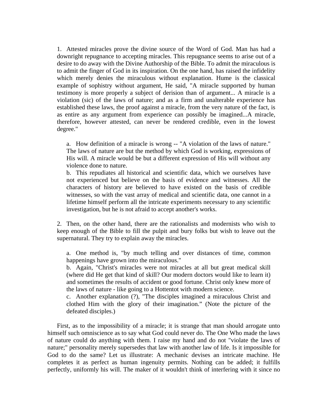1. Attested miracles prove the divine source of the Word of God. Man has had a downright repugnance to accepting miracles. This repugnance seems to arise out of a desire to do away with the Divine Authorship of the Bible. To admit the miraculous is to admit the finger of God in its inspiration. On the one hand, has raised the infidelity which merely denies the miraculous without explanation. Hume is the classical example of sophistry without argument, He said, "A miracle supported by human testimony is more properly a subject of derision than of argument... A miracle is a violation (sic) of the laws of nature; and as a firm and unalterable experience has established these laws, the proof against a miracle, from the very nature of the fact, is as entire as any argument from experience can possibly be imagined...A miracle, therefore, however attested, can never be rendered credible, even in the lowest degree."

a. How definition of a miracle is wrong -- "A violation of the laws of nature." The laws of nature are but the method by which God is working, expressions of His will. A miracle would be but a different expression of His will without any violence done to nature.

b. This repudiates all historical and scientific data, which we ourselves have not experienced but believe on the basis of evidence and witnesses. All the characters of history are believed to have existed on the basis of credible witnesses, so with the vast array of medical and scientific data, one cannot in a lifetime himself perform all the intricate experiments necessary to any scientific investigation, but he is not afraid to accept another's works.

 2. Then, on the other hand, there are the rationalists and modernists who wish to keep enough of the Bible to fill the pulpit and bury folks but wish to leave out the supernatural. They try to explain away the miracles.

a. One method is, "by much telling and over distances of time, common happenings have grown into the miraculous."

b. Again, "Christ's miracles were not miracles at all but great medical skill (where did He get that kind of skill? Our modern doctors would like to learn it) and sometimes the results of accident or good fortune. Christ only knew more of the laws of nature - like going to a Hottentot with modern science.

c. Another explanation (?), "The disciples imagined a miraculous Christ and clothed Him with the glory of their imagination." (Note the picture of the defeated disciples.)

 First, as to the impossibility of a miracle; it is strange that man should arrogate unto himself such omniscience as to say what God could never do. The One Who made the laws of nature could do anything with them. I raise my hand and do not "violate the laws of nature;" personality merely supersedes that law with another law of life. Is it impossible for God to do the same? Let us illustrate: A mechanic devises an intricate machine. He completes it as perfect as human ingenuity permits. Nothing can be added; it fulfills perfectly, uniformly his will. The maker of it wouldn't think of interfering with it since no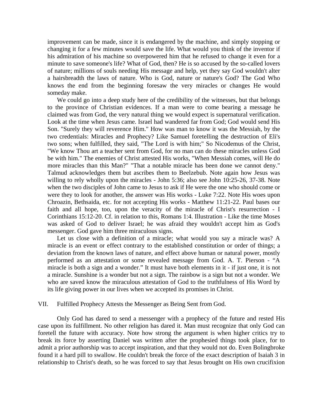improvement can be made, since it is endangered by the machine, and simply stopping or changing it for a few minutes would save the life. What would you think of the inventor if his admiration of his machine so overpowered him that he refused to change it even for a minute to save someone's life? What of God, then? He is so accused by the so-called lovers of nature; millions of souls needing His message and help, yet they say God wouldn't alter a hairsbreadth the laws of nature. Who is God, nature or nature's God? The God Who knows the end from the beginning foresaw the very miracles or changes He would someday make.

We could go into a deep study here of the credibility of the witnesses, but that belongs to the province of Christian evidences. If a man were to come bearing a message he claimed was from God, the very natural thing we would expect is supernatural verification. Look at the time when Jesus came. Israel had wandered far from God; God would send His Son. "Surely they will reverence Him." How was man to know it was the Messiah, by the two credentials: Miracles and Prophecy? Like Samuel foretelling the destruction of Eli's two sons; when fulfilled, they said, "The Lord is with him;" So Nicodemus of the Christ, "We know Thou art a teacher sent from God, for no man can do these miracles unless God be with him." The enemies of Christ attested His works, "When Messiah comes, will He do more miracles than this Man?" "That a notable miracle has been done we cannot deny." Talmud acknowledges them but ascribes them to Beelzebub. Note again how Jesus was willing to rely wholly upon the miracles - John 5:36; also see John 10:25-26, 37-38. Note when the two disciples of John came to Jesus to ask if He were the one who should come or were they to look for another, the answer was His works - Luke 7:22. Note His woes upon Chroazin, Bethsaida, etc. for not accepting His works - Matthew 11:21-22. Paul bases our faith and all hope, too, upon the veracity of the miracle of Christ's resurrection - I Corinthians 15:12-20. Cf. in relation to this, Romans 1:4. Illustration - Like the time Moses was asked of God to deliver Israel; he was afraid they wouldn't accept him as God's messenger. God gave him three miraculous signs.

 Let us close with a definition of a miracle; what would you say a miracle was? A miracle is an event or effect contrary to the established constitution or order of things; a deviation from the known laws of nature, and effect above human or natural power, mostly performed as an attestation or some revealed message from God. A. T. Pierson - "A miracle is both a sign and a wonder." It must have both elements in it - if just one, it is not a miracle. Sunshine is a wonder but not a sign. The rainbow is a sign but not a wonder. We who are saved know the miraculous attestation of God to the truthfulness of His Word by its life giving power in our lives when we accepted its promises in Christ.

#### VII. Fulfilled Prophecy Attests the Messenger as Being Sent from God.

 Only God has dared to send a messenger with a prophecy of the future and rested His case upon its fulfillment. No other religion has dared it. Man must recognize that only God can foretell the future with accuracy. Note how strong the argument is when higher critics try to break its force by asserting Daniel was written after the prophesied things took place, for to admit a prior authorship was to accept inspiration, and that they would not do. Even Bolingbroke found it a hard pill to swallow. He couldn't break the force of the exact description of Isaiah 3 in relationship to Christ's death, so he was forced to say that Jesus brought on His own crucifixion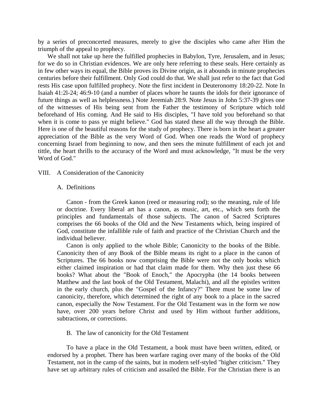by a series of preconcerted measures, merely to give the disciples who came after Him the triumph of the appeal to prophecy.

 We shall not take up here the fulfilled prophecies in Babylon, Tyre, Jerusalem, and in Jesus; for we do so in Christian evidences. We are only here referring to these seals. Here certainly as in few other ways its equal, the Bible proves its Divine origin, as it abounds in minute prophecies centuries before their fulfillment. Only God could do that. We shall just refer to the fact that God rests His case upon fulfilled prophecy. Note the first incident in Deuteronomy 18:20-22. Note In Isaiah 41:2l-24; 46:9-10 (and a number of places whore he taunts the idols for their ignorance of future things as well as helplessness.) Note Jeremiah 28:9. Note Jesus in John 5:37-39 gives one of the witnesses of His being sent from the Father the testimony of Scripture which told beforehand of His coming. And He said to His disciples, "I have told you beforehand so that when it is come to pass ye might believe." God has stated these all the way through the Bible. Here is one of the beautiful reasons for the study of prophecy. There is born in the heart a greater appreciation of the Bible as the very Word of God. When one reads the Word of prophecy concerning Israel from beginning to now, and then sees the minute fulfillment of each jot and tittle, the heart thrills to the accuracy of the Word and must acknowledge, "It must be the very Word of God."

#### VIII. A Consideration of the Canonicity

#### A. Definitions

 Canon - from the Greek kanon (reed or measuring rod); so the meaning, rule of life or doctrine. Every liberal art has a canon, as music, art, etc., which sets forth the principles and fundamentals of those subjects. The canon of Sacred Scriptures comprises the 66 books of the Old and the New Testaments which, being inspired of God, constitute the infallible rule of faith and practice of the Christian Church and the individual believer.

 Canon is only applied to the whole Bible; Canonicity to the books of the Bible. Canonicity then of any Book of the Bible means its right to a place in the canon of Scriptures. The 66 books now comprising the Bible were not the only books which either claimed inspiration or had that claim made for them. Why then just these 66 books? What about the "Book of Enoch," the Apocrypha (the 14 books between Matthew and the last book of the Old Testament, Malachi), and all the epistles written in the early church, plus the "Gospel of the Infancy?" There must be some law of canonicity, therefore, which determined the right of any book to a place in the sacred canon, especially the Now Testament. For the Old Testament was in the form we now have, over 200 years before Christ and used by Him without further additions, subtractions, or corrections.

B. The law of canonicity for the Old Testament

 To have a place in the Old Testament, a book must have been written, edited, or endorsed by a prophet. There has been warfare raging over many of the books of the Old Testament, not in the camp of the saints, but in modern self-styled "higher criticism." They have set up arbitrary rules of criticism and assailed the Bible. For the Christian there is an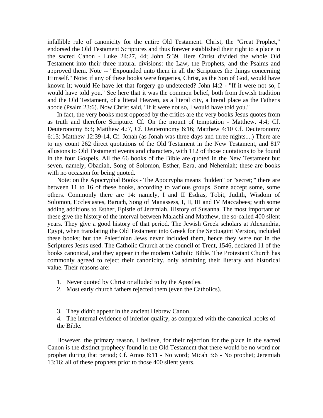infallible rule of canonicity for the entire Old Testament. Christ, the "Great Prophet," endorsed the Old Testament Scriptures and thus forever established their right to a place in the sacred Canon - Luke 24:27, 44; John 5:39. Here Christ divided the whole Old Testament into their three natural divisions: the Law, the Prophets, and the Psalms and approved them. Note -- "Expounded unto them in all the Scriptures the things concerning Himself." Note: if any of these books were forgeries, Christ, as the Son of God, would have known it; would He have let that forgery go undetected? John l4:2 - "If it were not so, I would have told you." See here that it was the common belief, both from Jewish tradition and the Old Testament, of a literal Heaven, as a literal city, a literal place as the Father's abode (Psalm 23:6). Now Christ said, "If it were not so, I would have told you."

 In fact, the very books most opposed by the critics are the very books Jesus quotes from as truth and therefore Scripture. Cf. On the mount of temptation - Matthew. 4:4; Cf. Deuteronomy 8:3; Matthew 4.:7, Cf. Deuteronomy 6:16; Matthew 4:10 Cf. Deuteronomy 6:13; Matthew 12:39-14, Cf. Jonah (as Jonah was three days and three nights....) There are to my count 262 direct quotations of the Old Testament in the New Testament, and 817 allusions to Old Testament events and characters, with 112 of those quotations to be found in the four Gospels. All the 66 books of the Bible are quoted in the New Testament but seven, namely, Obadiah, Song of Solomon, Esther, Ezra, and Nehemiah; these are books with no occasion for being quoted.

 Note: on the Apocryphal Books - The Apocrypha means "hidden" or "secret;'" there are between 11 to 16 of these books, according to various groups. Some accept some, some others. Commonly there are 14: namely, I and II Esdras, Tobit, Judith, Wisdom of Solomon, Ecclesiastes, Baruch, Song of Manassess, I, II, III and IV Maccabees; with some adding additions to Esther, Epistle of Jeremiah, History of Susanna. The most important of these give the history of the interval between Malachi and Matthew, the so-called 400 silent years. They give a good history of that period. The Jewish Greek scholars at Alexandria, Egypt, when translating the Old Testament into Greek for the Septuagint Version, included these books; but the Palestinian Jews never included them, hence they were not in the Scriptures Jesus used. The Catholic Church at the council of Trent, 1546, declared 11 of the books canonical, and they appear in the modern Catholic Bible. The Protestant Church has commonly agreed to reject their canonicity, only admitting their literary and historical value. Their reasons are:

- 1. Never quoted by Christ or alluded to by the Apostles.
- 2. Most early church fathers rejected them (even the Catholics).
- 3. They didn't appear in the ancient Hebrew Canon.

4. The internal evidence of inferior quality, as compared with the canonical hooks of the Bible.

 However, the primary reason, I believe, for their rejection for the place in the sacred Canon is the distinct prophecy found in the Old Testament that there would be no word nor prophet during that period; Cf. Amos 8:11 - No word; Micah 3:6 - No prophet; Jeremiah 13:16; all of these prophets prior to those 400 silent years.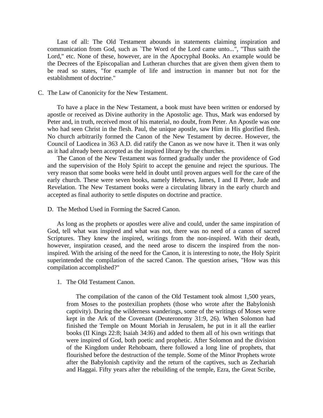Last of all: The Old Testament abounds in statements claiming inspiration and communication from God, such as `The Word of the Lord came unto...", "Thus saith the Lord," etc. None of these, however, are in the Apocryphal Books. An example would be the Decrees of the Episcopalian and Lutheran churches that are given them given them to be read so states, "for example of life and instruction in manner but not for the establishment of doctrine."

### C. The Law of Canonicity for the New Testament.

 To have a place in the New Testament, a book must have been written or endorsed by apostle or received as Divine authority in the Apostolic age. Thus, Mark was endorsed by Peter and, in truth, received most of his material, no doubt, from Peter. An Apostle was one who had seen Christ in the flesh. Paul, the unique apostle, saw Him in His glorified flesh. No church arbitrarily formed the Canon of the New Testament by decree. However, the Council of Laodicea in 363 A.D. did ratify the Canon as we now have it. Then it was only as it had already been accepted as the inspired library by the churches.

 The Canon of the New Testament was formed gradually under the providence of God and the supervision of the Holy Spirit to accept the genuine and reject the spurious. The very reason that some books were held in doubt until proven argues well for the care of the early church. These were seven books, namely Hebrews, James, I and II Peter, Jude and Revelation. The New Testament books were a circulating library in the early church and accepted as final authority to settle disputes on doctrine and practice.

D. The Method Used in Forming the Sacred Canon.

 As long as the prophets or apostles were alive and could, under the same inspiration of God, tell what was inspired and what was not, there was no need of a canon of sacred Scriptures. They knew the inspired, writings from the non-inspired. With their death, however, inspiration ceased, and the need arose to discern the inspired from the noninspired. With the arising of the need for the Canon, it is interesting to note, the Holy Spirit superintended the compilation of the sacred Canon. The question arises, "How was this compilation accomplished?"

## 1. The Old Testament Canon.

 The compilation of the canon of the Old Testament took almost 1,500 years, from Moses to the postexilian prophets (those who wrote after the Babylonish captivity). During the wilderness wanderings, some of the writings of Moses were kept in the Ark of the Covenant (Deuteronomy 31:9, 26). When Solomon had finished the Temple on Mount Moriah in Jerusalem, he put in it all the earlier books (II Kings 22:8; Isaiah 34:l6) and added to them all of his own writings that were inspired of God, both poetic and prophetic. After Solomon and the division of the Kingdom under Rehoboam, there followed a long line of prophets, that flourished before the destruction of the temple. Some of the Minor Prophets wrote after the Babylonish captivity and the return of the captives, such as Zechariah and Haggai. Fifty years after the rebuilding of the temple, Ezra, the Great Scribe,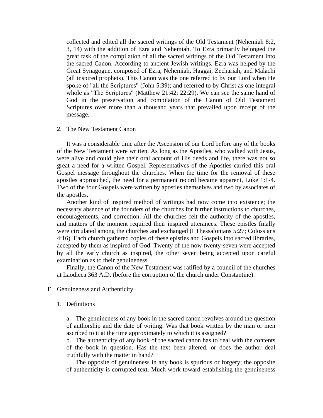collected and edited all the sacred writings of the Old Testament (Nehemiah 8:2, 3, 14) with the addition of Ezra and Nehemiah. To Ezra primarily belonged the great task of the compilation of all the sacred writings of the Old Testament into the sacred Canon. According to ancient Jewish writings, Ezra was helped by the Great Synagogue, composed of Ezra, Nehemiah, Haggai, Zechariah, and Malachi (all inspired prophets). This Canon was the one referred to by our Lord when He spoke of "all the Scriptures" (John 5:39); and referred to by Christ as one integral whole as "The Scriptures" (Matthew 21:42; 22:29). We can see the same hand of God in the preservation and compilation of the Canon of Old Testament Scriptures over more than a thousand years that prevailed upon receipt of the message.

#### 2. The New Testament Canon

 It was a considerable time after the Ascension of our Lord before any of the books of the New Testament were written. As long as the Apostles, who walked with Jesus, were alive and could give their oral account of His deeds and life, there was not so great a need for a written Gospel. Representatives of the Apostles carried this oral Gospel message throughout the churches. When the time for the removal of these apostles approached, the need for a permanent record became apparent, Luke 1:1-4. Two of the four Gospels were written by apostles themselves and two by associates of the apostles.

 Another kind of inspired method of writings had now come into existence; the necessary absence of the founders of the churches for further instructions to churches, encouragements, and correction. All the churches felt the authority of the apostles, and matters of the moment required their inspired utterances. These epistles finally were circulated among the churches and exchanged (I Thessalonians 5:27; Colossians 4:16). Each church gathered copies of these epistles and Gospels into sacred libraries, accepted by them as inspired of God. Twenty of the now twenty-seven were accepted by all the early church as inspired, the other seven being accepted upon careful examination as to their genuineness.

 Finally, the Canon of the New Testament was ratified by a council of the churches at Laodicea 363 A.D. (before the corruption of the church under Constantine).

- E. Genuineness and Authenticity.
	- 1. Definitions

a. The genuineness of any book in the sacred canon revolves around the question of authorship and the date of writing. Was that book written by the man or men ascribed to it at the time approximately to which it is assigned?

b. The authenticity of any book of the sacred canon has to deal with the contents of the book in question. Has the text been altered, or does the author deal truthfully with the matter in hand?

 The opposite of genuineness in any book is spurious or forgery; the opposite of authenticity is corrupted text. Much work toward establishing the genuineness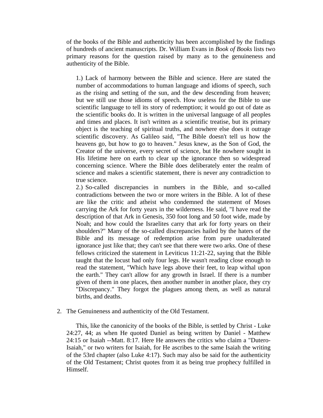of the books of the Bible and authenticity has been accomplished by the findings of hundreds of ancient manuscripts. Dr. William Evans in *Book of Books* lists two primary reasons for the question raised by many as to the genuineness and authenticity of the Bible.

1.) Lack of harmony between the Bible and science. Here are stated the number of accommodations to human language and idioms of speech, such as the rising and setting of the sun, and the dew descending from heaven; but we still use those idioms of speech. How useless for the Bible to use scientific language to tell its story of redemption; it would go out of date as the scientific books do. It is written in the universal language of all peoples and times and places. It isn't written as a scientific treatise, but its primary object is the teaching of spiritual truths, and nowhere else does it outrage scientific discovery. As Galileo said, "The Bible doesn't tell us how the heavens go, but how to go to heaven." Jesus knew, as the Son of God, the Creator of the universe, every secret of science, but He nowhere sought in His lifetime here on earth to clear up the ignorance then so widespread concerning science. Where the Bible does deliberately enter the realm of science and makes a scientific statement, there is never any contradiction to true science.

2.) So-called discrepancies in numbers in the Bible, and so-called contradictions between the two or more writers in the Bible. A lot of these are like the critic and atheist who condemned the statement of Moses carrying the Ark for forty years in the wilderness. He said, "I have read the description of that Ark in Genesis, 350 foot long and 50 foot wide, made by Noah; and how could the Israelites carry that ark for forty years on their shoulders?" Many of the so-called discrepancies hailed by the haters of the Bible and its message of redemption arise from pure unadulterated ignorance just like that; they can't see that there were two arks. One of these fellows criticized the statement in Leviticus 11:21-22, saying that the Bible taught that the locust had only four legs. He wasn't reading close enough to read the statement, "Which have legs above their feet, to leap withal upon the earth." They can't allow for any growth in Israel. If there is a number given of them in one places, then another number in another place, they cry "Discrepancy." They forgot the plagues among them, as well as natural births, and deaths.

2. The Genuineness and authenticity of the Old Testament.

 This, like the canonicity of the books of the Bible, is settled by Christ - Luke 24:27, 44; as when He quoted Daniel as being written by Daniel - Matthew 24:15 or Isaiah --Matt. 8:17. Here He answers the critics who claim a "Dutero-Isaiah," or two writers for Isaiah, for He ascribes to the same Isaiah the writing of the 53rd chapter (also Luke 4:17). Such may also be said for the authenticity of the Old Testament; Christ quotes from it as being true prophecy fulfilled in Himself.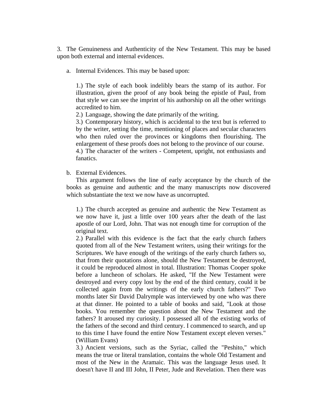3. The Genuineness and Authenticity of the New Testament. This may be based upon both external and internal evidences.

a. Internal Evidences. This may be based upon:

1.) The style of each book indelibly bears the stamp of its author. For illustration, given the proof of any book being the epistle of Paul, from that style we can see the imprint of his authorship on all the other writings accredited to him.

2.) Language, showing the date primarily of the writing.

3.) Contemporary history, which is accidental to the text but is referred to by the writer, setting the time, mentioning of places and secular characters who then ruled over the provinces or kingdoms then flourishing. The enlargement of these proofs does not belong to the province of our course.

4.) The character of the writers - Competent, upright, not enthusiasts and fanatics.

b. External Evidences.

 This argument follows the line of early acceptance by the church of the books as genuine and authentic and the many manuscripts now discovered which substantiate the text we now have as uncorrupted.

1.) The church accepted as genuine and authentic the New Testament as we now have it, just a little over 100 years after the death of the last apostle of our Lord, John. That was not enough time for corruption of the original text.

2.) Parallel with this evidence is the fact that the early church fathers quoted from all of the New Testament writers, using their writings for the Scriptures. We have enough of the writings of the early church fathers so, that from their quotations alone, should the New Testament be destroyed, it could be reproduced almost in total. Illustration: Thomas Cooper spoke before a luncheon of scholars. He asked, "If the New Testament were destroyed and every copy lost by the end of the third century, could it be collected again from the writings of the early church fathers?" Two months later Sir David Dalrymple was interviewed by one who was there at that dinner. He pointed to a table of books and said, "Look at those books. You remember the question about the New Testament and the fathers? It aroused my curiosity. I possessed all of the existing works of the fathers of the second and third century. I commenced to search, and up to this time I have found the entire Now Testament except eleven verses." (William Evans)

3.) Ancient versions, such as the Syriac, called the "Peshito," which means the true or literal translation, contains the whole Old Testament and most of the New in the Aramaic. This was the language Jesus used. It doesn't have II and III John, II Peter, Jude and Revelation. Then there was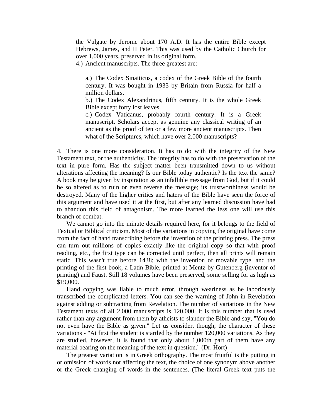the Vulgate by Jerome about 170 A.D. It has the entire Bible except Hebrews, James, and II Peter. This was used by the Catholic Church for over 1,000 years, preserved in its original form.

4.) Ancient manuscripts. The three greatest are:

a.) The Codex Sinaiticus, a codex of the Greek Bible of the fourth century. It was bought in 1933 by Britain from Russia for half a million dollars.

b.) The Codex Alexandrinus, fifth century. It is the whole Greek Bible except forty lost leaves.

c.) Codex Vaticanus, probably fourth century. It is a Greek manuscript. Scholars accept as genuine any classical writing of an ancient as the proof of ten or a few more ancient manuscripts. Then what of the Scriptures, which have over 2,000 manuscripts?

4. There is one more consideration. It has to do with the integrity of the New Testament text, or the authenticity. The integrity has to do with the preservation of the text in pure form. Has the subject matter been transmitted down to us without alterations affecting the meaning? Is our Bible today authentic? Is the text the same? A book may be given by inspiration as an infallible message from God, but if it could be so altered as to ruin or even reverse the message; its trustworthiness would be destroyed. Many of the higher critics and haters of the Bible have seen the force of this argument and have used it at the first, but after any learned discussion have had to abandon this field of antagonism. The more learned the less one will use this branch of combat.

 We cannot go into the minute details required here, for it belongs to the field of Textual or Biblical criticism. Most of the variations in copying the original have come from the fact of hand transcribing before the invention of the printing press. The press can turn out millions of copies exactly like the original copy so that with proof reading, etc., the first type can be corrected until perfect, then all prints will remain static. This wasn't true before 1438; with the invention of movable type, and the printing of the first book, a Latin Bible, printed at Mentz by Gutenberg (inventor of printing) and Faust. Still 18 volumes have been preserved, some selling for as high as \$19,000.

 Hand copying was liable to much error, through weariness as he laboriously transcribed the complicated letters. You can see the warning of John in Revelation against adding or subtracting from Revelation. The number of variations in the New Testament texts of all 2,000 manuscripts is 120,000. It is this number that is used rather than any argument from them by atheists to slander the Bible and say, "You do not even have the Bible as given." Let us consider, though, the character of these variations - "At first the student is startled by the number 120,000 variations. As they are studied, however, it is found that only about 1,000th part of them have any material bearing on the meaning of the text in question." (Dr. Hort)

 The greatest variation is in Greek orthography. The most fruitful is the putting in or omission of words not affecting the text, the choice of one synonym above another or the Greek changing of words in the sentences. (The literal Greek text puts the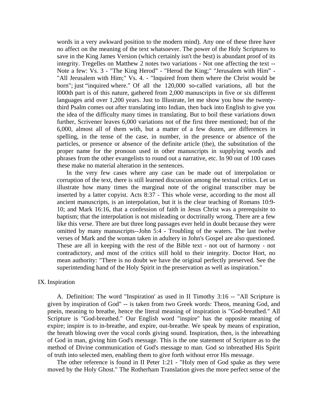words in a very awkward position to the modern mind). Any one of these three have no affect on the meaning of the text whatsoever. The power of the Holy Scriptures to save in the King James Version (which certainly isn't the best) is abundant proof of its integrity. Tregelles on Matthew 2 notes two variations - Not one affecting the text -- Note a few: Vs. 3 - "The King Herod" - "Herod the King;" "Jerusalem with Him" - "All Jerusalem with Him;" Vs. 4. - "Inquired from them where the Christ would be born"; just "inquired where." Of all the 120,000 so-called variations, all but the l000th part is of this nature, gathered from 2,000 manuscripts in five or six different languages arid over 1,200 years. Just to Illustrate, let me show you how the twentythird Psalm comes out after translating into Indian, then back into English to give you the idea of the difficulty many times in translating. But to boil these variations down further, Scrivener leaves 6,000 variations not of the first three mentioned; but of the 6,000, almost all of them with, but a matter of a few dozen, are differences in spelling, in the tense of the case, in number, in the presence or absence of the particles, or presence or absence of the definite article (the), the substitution of the proper name for the pronoun used in other manuscripts in supplying words and phrases from the other evangelists to round out a narrative, etc. In 90 out of 100 cases these make no material alteration in the sentences.

 In the very few cases where any case can be made out of interpolation or corruption of the text, there is still learned discussion among the textual critics. Let us illustrate how many times the marginal note of the original transcriber may be inserted by a latter copyist. Acts 8:37 - This whole verse, according to the most all ancient manuscripts, is an interpolation, but it is the clear teaching of Romans 10:9- 10; and Mark 16:16, that a confession of faith in Jesus Christ was a prerequisite to baptism; that the interpolation is not misleading or doctrinally wrong. There are a few like this verse. There are but three long passages ever held in doubt because they were omitted by many manuscripts--John 5:4 - Troubling of the waters. The last twelve verses of Mark and the woman taken in adultery in John's Gospel are also questioned. These are all in keeping with the rest of the Bible text - not out of harmony - not contradictory, and most of the critics still hold to their integrity. Doctor Hort, no mean authority: "There is no doubt we have the original perfectly preserved. See the superintending hand of the Holy Spirit in the preservation as well as inspiration."

#### IX. Inspiration

 A. Definition: The word "Inspiration' as used in II Timothy 3:16 -- "All Scripture is given by inspiration of God" -- is taken from two Greek words: Theos, meaning God, and pnein, meaning to breathe, hence the literal meaning of inspiration is "God-breathed." All Scripture is "God-breathed." Our English word "inspire" has the opposite meaning of expire; inspire is to in-breathe, and expire, out-breathe. We speak by means of expiration, the breath blowing over the vocal cords giving sound. Inspiration, then, is the inbreathing of God in man, giving him God's message. This is the one statement of Scripture as to the method of Divine communication of God's message to man. God so inbreathed His Spirit of truth into selected men, enabling them to give forth without error His message.

 The other reference is found in II Peter 1:21 - "Holy men of God spake as they were moved by the Holy Ghost." The Rotherham Translation gives the more perfect sense of the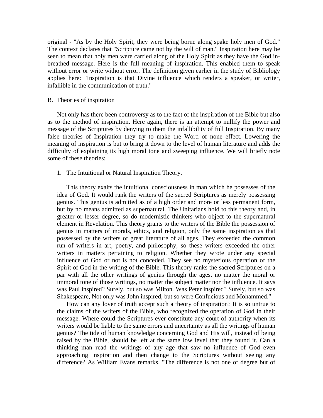original - "As by the Holy Spirit, they were being borne along spake holy men of God." The context declares that "Scripture came not by the will of man." Inspiration here may be seen to mean that holy men were carried along of the Holy Spirit as they have the God inbreathed message. Here is the full meaning of inspiration. This enabled them to speak without error or write without error. The definition given earlier in the study of Bibliology applies here: "Inspiration is that Divine influence which renders a speaker, or writer, infallible in the communication of truth."

### B. Theories of inspiration

 Not only has there been controversy as to the fact of the inspiration of the Bible but also as to the method of inspiration. Here again, there is an attempt to nullify the power and message of the Scriptures by denying to them the infallibility of full Inspiration. By many false theories of Inspiration they try to make the Word of none effect. Lowering the meaning of inspiration is but to bring it down to the level of human literature and adds the difficulty of explaining its high moral tone and sweeping influence. We will briefly note some of these theories:

1. The Intuitional or Natural Inspiration Theory.

 This theory exalts the intuitional consciousness in man which he possesses of the idea of God. It would rank the writers of the sacred Scriptures as merely possessing genius. This genius is admitted as of a high order and more or less permanent form, but by no means admitted as supernatural. The Unitarians hold to this theory and, in greater or lesser degree, so do modernistic thinkers who object to the supernatural element in Revelation. This theory grants to the writers of the Bible the possession of genius in matters of morals, ethics, and religion, only the same inspiration as that possessed by the writers of great literature of all ages. They exceeded the common run of writers in art, poetry, and philosophy; so these writers exceeded the other writers in matters pertaining to religion. Whether they wrote under any special influence of God or not is not conceded. They see no mysterious operation of the Spirit of God in the writing of the Bible. This theory ranks the sacred Scriptures on a par with all the other writings of genius through the ages, no matter the moral or immoral tone of those writings, no matter the subject matter nor the influence. It says was Paul inspired? Surely, but so was Milton. Was Peter inspired? Surely, but so was Shakespeare, Not only was John inspired, but so were Confucious and Mohammed."

 How can any lover of truth accept such a theory of inspiration? It is so untrue to the claims of the writers of the Bible, who recognized the operation of God in their message. Where could the Scriptures ever constitute any court of authority when its writers would be liable to the same errors and uncertainty as all the writings of human genius? The tide of human knowledge concerning God and His will, instead of being raised by the Bible, should be left at the same low level that they found it. Can a thinking man read the writings of any age that saw no influence of God even approaching inspiration and then change to the Scriptures without seeing any difference? As William Evans remarks, "The difference is not one of degree but of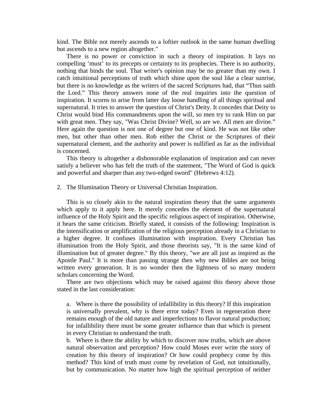kind. The Bible not merely ascends to a loftier outlook in the same human dwelling but ascends to a new region altogether."

 There is no power or conviction in such a theory of inspiration. It lays no compelling 'must' to its precepts or certainty to its prophecies. There is no authority, nothing that binds the soul. That writer's opinion may be no greater than my own. I catch intuitional perceptions of truth which shine upon the soul like a clear sunrise, but there is no knowledge as the writers of the sacred Scriptures had, that "Thus saith the Lord." This theory answers none of the real inquiries into the question of inspiration. It scorns to arise from latter day loose handling of all things spiritual and supernatural. It tries to answer the question of Christ's Deity. It concedes that Deity to Christ would bind His commandments upon the will, so men try to rank Him on par with great men. They say, "Was Christ Divine? Well, so are we. All men are divine." Here again the question is not one of degree but one of kind. He was not like other men, but other than other men. Rob either the Christ or the Scriptures of their supernatural clement, and the authority and power is nullified as far as the individual is concerned.

 This theory is altogether a dishonorable explanation of inspiration and can never satisfy a believer who has felt the truth of the statement, "The Word of God is quick and powerful and sharper than any two-edged sword" (Hebrews 4:12).

2. The Illumination Theory or Universal Christian Inspiration.

 This is so closely akin to the natural inspiration theory that the same arguments which apply to it apply here. It merely concedes the element of the supernatural influence of the Holy Spirit and the specific religious aspect of inspiration. Otherwise, it bears the same criticism. Briefly stated, it consists of the following: Inspiration is the intensification or amplification of the religious perception already in a Christian to a higher degree. It confuses illumination with inspiration. Every Christian has illumination from the Holy Spirit, and those theorists say, "It is the same kind of illumination but of greater degree." By this theory, "we are all just as inspired as the Apostle Paul." It is more than passing strange then why new Bibles are not being written every generation. It is no wonder then the lightness of so many modern scholars concerning the Word.

 There are two objections which may be raised against this theory above those stated in the last consideration:

a. Where is there the possibility of infallibility in this theory? If this inspiration is universally prevalent, why is there error today? Even in regeneration there remains enough of the old nature and imperfections to flavor natural production; for infallibility there must be some greater influence than that which is present in every Christian to understand the truth.

b. Where is there the ability by which to discover now truths, which are above natural observation and perception? How could Moses ever write the story of creation by this theory of inspiration? Or how could prophecy come by this method? This kind of truth must come by revelation of God, not intuitionally, but by communication. No matter how high the spiritual perception of neither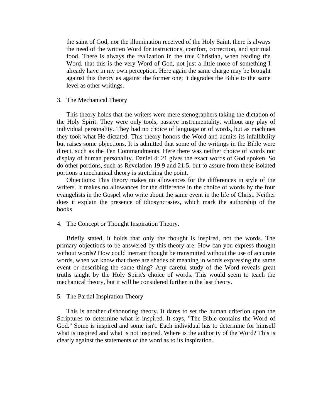the saint of God, nor the illumination received of the Holy Saint, there is always the need of the written Word for instructions, comfort, correction, and spiritual food. There is always the realization in the true Christian, when reading the Word, that this is the very Word of God, not just a little more of something I already have in my own perception. Here again the same charge may be brought against this theory as against the former one; it degrades the Bible to the same level as other writings.

3. The Mechanical Theory

 This theory holds that the writers were mere stenographers taking the dictation of the Holy Spirit. They were only tools, passive instrumentality, without any play of individual personality. They had no choice of language or of words, but as machines they took what He dictated. This theory honors the Word and admits its infallibility but raises some objections. It is admitted that some of the writings in the Bible were direct, such as the Ten Commandments. Here there was neither choice of words nor display of human personality. Daniel 4: 21 gives the exact words of God spoken. So do other portions, such as Revelation 19:9 and 21:5, but to assure from these isolated portions a mechanical theory is stretching the point.

 Objections: This theory makes no allowances for the differences in style of the writers. It makes no allowances for the difference in the choice of words by the four evangelists in the Gospel who write about the same event in the life of Christ. Neither does it explain the presence of idiosyncrasies, which mark the authorship of the books.

4. The Concept or Thought Inspiration Theory.

 Briefly stated, it holds that only the thought is inspired, not the words. The primary objections to be answered by this theory are: How can you express thought without words? How could inerrant thought be transmitted without the use of accurate words, when we know that there are shades of meaning in words expressing the same event or describing the same thing? Any careful study of the Word reveals great truths taught by the Holy Spirit's choice of words. This would seem to teach the mechanical theory, but it will be considered further in the last theory.

5. The Partial Inspiration Theory

 This is another dishonoring theory. It dares to set the human criterion upon the Scriptures to determine what is inspired. It says, "The Bible contains the Word of God." Some is inspired and some isn't. Each individual has to determine for himself what is inspired and what is not inspired. Where is the authority of the Word? This is clearly against the statements of the word as to its inspiration.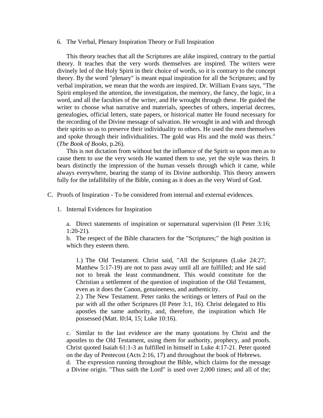6. The Verbal, Plenary Inspiration Theory or Full Inspiration

 This theory teaches that all the Scriptures are alike inspired, contrary to the partial theory. It teaches that the very words themselves are inspired. The writers were divinely led of the Holy Spirit in their choice of words, so it is contrary to the concept theory. By the word "plenary" is meant equal inspiration for all the Scriptures; and by verbal inspiration, we mean that the words are inspired. Dr. William Evans says, "The Spirit employed the attention, the investigation, the memory, the fancy, the logic, in a word, and all the faculties of the writer, and He wrought through these. He guided the writer to choose what narrative and materials, speeches of others, imperial decrees, genealogies, official letters, state papers, or historical matter He found necessary for the recording of the Divine message of salvation. He wrought in and with and through their spirits so as to preserve their individuality to others. He used the men themselves and spoke through their individualities. The gold was His and the mold was theirs." (*The Book of Books*, p.26).

 This is not dictation from without but the influence of the Spirit so upon men as to cause them to use the very words He wanted them to use, yet the style was theirs. It bears distinctly the impression of the human vessels through which it came, while always everywhere, bearing the stamp of its Divine authorship. This theory answers fully for the infallibility of the Bible, coming as it does as the very Word of God.

C. Proofs of Inspiration - To be considered from internal and external evidences.

1. Internal Evidences for Inspiration

a. Direct statements of inspiration or supernatural supervision (II Peter 3:16; 1:20-21).

b. The respect of the Bible characters for the "Scriptures;" the high position in which they esteem them.

1.) The Old Testament. Christ said, "All the Scriptures (Luke 24:27; Matthew 5:17-19) are not to pass away until all are fulfilled; and He said not to break the least commandment. This would constitute for the Christian a settlement of the question of inspiration of the Old Testament, even as it does the Canon, genuineness, and authenticity.

2.) The New Testament. Peter ranks the writings or letters of Paul on the par with all the other Scriptures (II Peter 3:1, 16). Christ delegated to His apostles the same authority, and, therefore, the inspiration which He possessed (Matt. l0:l4, 15; Luke 10:16).

c. Similar to the last evidence are the many quotations by Christ and the apostles to the Old Testament, using them for authority, prophecy, and proofs. Christ quoted Isaiah 61:1-3 as fulfilled in himself in Luke 4:17-21. Peter quoted on the day of Pentecost (Acts 2:16, 17) and throughout the book of Hebrews.

d. The expression running throughout the Bible, which claims for the message a Divine origin. "Thus saith the Lord" is used over 2,000 times; and all of the;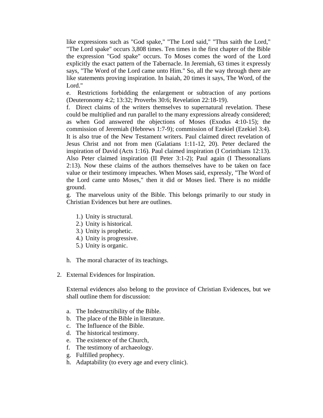like expressions such as "God spake," "The Lord said," "Thus saith the Lord," "The Lord spake" occurs 3,808 times. Ten times in the first chapter of the Bible the expression "God spake" occurs. To Moses comes the word of the Lord explicitly the exact pattern of the Tabernacle. In Jeremiah, 63 times it expressly says, "The Word of the Lord came unto Him." So, all the way through there are like statements proving inspiration. In Isaiah, 20 times it says, The Word, of the Lord."

e. Restrictions forbidding the enlargement or subtraction of any portions (Deuteronomy 4:2; 13:32; Proverbs 30:6; Revelation 22:18-19).

f. Direct claims of the writers themselves to supernatural revelation. These could be multiplied and run parallel to the many expressions already considered; as when God answered the objections of Moses (Exodus 4:10-15); the commission of Jeremiah (Hebrews 1:7-9); commission of Ezekiel (Ezekiel 3:4). It is also true of the New Testament writers. Paul claimed direct revelation of Jesus Christ and not from men (Galatians 1:11-12, 20). Peter declared the inspiration of David (Acts 1:16). Paul claimed inspiration (I Corinthians 12:13). Also Peter claimed inspiration (II Peter 3:1-2); Paul again (I Thessonalians 2:13). Now these claims of the authors themselves have to be taken on face value or their testimony impeaches. When Moses said, expressly, "The Word of the Lord came unto Moses," then it did or Moses lied. There is no middle ground.

g. The marvelous unity of the Bible. This belongs primarily to our study in Christian Evidences but here are outlines.

- 1.) Unity is structural.
- 2.) Unity is historical.
- 3.) Unity is prophetic.
- 4.) Unity is progressive.
- 5.) Unity is organic.
- h. The moral character of its teachings.
- 2. External Evidences for Inspiration.

External evidences also belong to the province of Christian Evidences, but we shall outline them for discussion:

- a. The Indestructibility of the Bible.
- b. The place of the Bible in literature.
- c. The Influence of the Bible.
- d. The historical testimony.
- e. The existence of the Church,
- f. The testimony of archaeology.
- g. Fulfilled prophecy.
- h. Adaptability (to every age and every clinic).